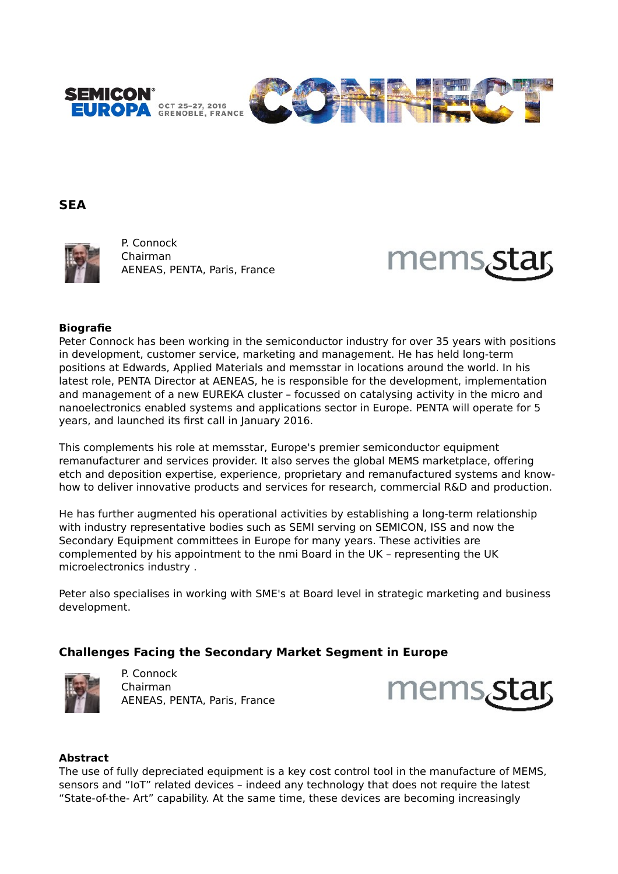



## **SEA**



P. Connock Chairman AENEAS, PENTA, Paris, France



### **Biografie**

Peter Connock has been working in the semiconductor industry for over 35 years with positions in development, customer service, marketing and management. He has held long-term positions at Edwards, Applied Materials and memsstar in locations around the world. In his latest role, PENTA Director at AENEAS, he is responsible for the development, implementation and management of a new EUREKA cluster – focussed on catalysing activity in the micro and nanoelectronics enabled systems and applications sector in Europe. PENTA will operate for 5 years, and launched its first call in January 2016.

This complements his role at memsstar, Europe's premier semiconductor equipment remanufacturer and services provider. It also serves the global MEMS marketplace, offering etch and deposition expertise, experience, proprietary and remanufactured systems and knowhow to deliver innovative products and services for research, commercial R&D and production.

He has further augmented his operational activities by establishing a long-term relationship with industry representative bodies such as SEMI serving on SEMICON, ISS and now the Secondary Equipment committees in Europe for many years. These activities are complemented by his appointment to the nmi Board in the UK – representing the UK microelectronics industry .

Peter also specialises in working with SME's at Board level in strategic marketing and business development.

# **Challenges Facing the Secondary Market Segment in Europe**



P. Connock Chairman AENEAS, PENTA, Paris, France



#### **Abstract**

The use of fully depreciated equipment is a key cost control tool in the manufacture of MEMS, sensors and "IoT" related devices – indeed any technology that does not require the latest "State-of-the- Art" capability. At the same time, these devices are becoming increasingly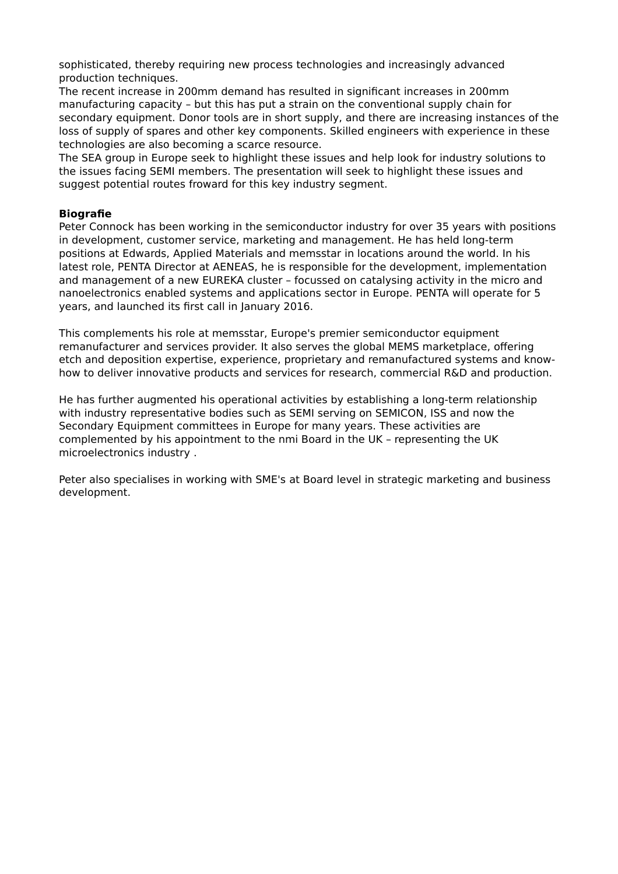sophisticated, thereby requiring new process technologies and increasingly advanced production techniques.

The recent increase in 200mm demand has resulted in significant increases in 200mm manufacturing capacity – but this has put a strain on the conventional supply chain for secondary equipment. Donor tools are in short supply, and there are increasing instances of the loss of supply of spares and other key components. Skilled engineers with experience in these technologies are also becoming a scarce resource.

The SEA group in Europe seek to highlight these issues and help look for industry solutions to the issues facing SEMI members. The presentation will seek to highlight these issues and suggest potential routes froward for this key industry segment.

### **Biografie**

Peter Connock has been working in the semiconductor industry for over 35 years with positions in development, customer service, marketing and management. He has held long-term positions at Edwards, Applied Materials and memsstar in locations around the world. In his latest role, PENTA Director at AENEAS, he is responsible for the development, implementation and management of a new EUREKA cluster – focussed on catalysing activity in the micro and nanoelectronics enabled systems and applications sector in Europe. PENTA will operate for 5 years, and launched its first call in January 2016.

This complements his role at memsstar, Europe's premier semiconductor equipment remanufacturer and services provider. It also serves the global MEMS marketplace, offering etch and deposition expertise, experience, proprietary and remanufactured systems and knowhow to deliver innovative products and services for research, commercial R&D and production.

He has further augmented his operational activities by establishing a long-term relationship with industry representative bodies such as SEMI serving on SEMICON, ISS and now the Secondary Equipment committees in Europe for many years. These activities are complemented by his appointment to the nmi Board in the UK – representing the UK microelectronics industry .

Peter also specialises in working with SME's at Board level in strategic marketing and business development.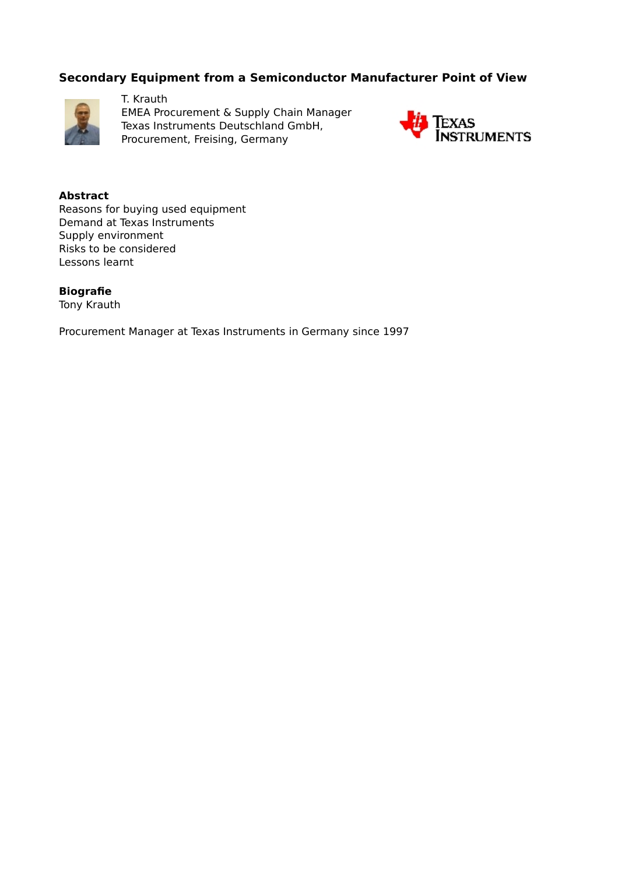# **Secondary Equipment from a Semiconductor Manufacturer Point of View**



T. Krauth EMEA Procurement & Supply Chain Manager Texas Instruments Deutschland GmbH, Procurement, Freising, Germany



**Abstract** Reasons for buying used equipment Demand at Texas Instruments Supply environment Risks to be considered Lessons learnt

**Biografie** Tony Krauth

Procurement Manager at Texas Instruments in Germany since 1997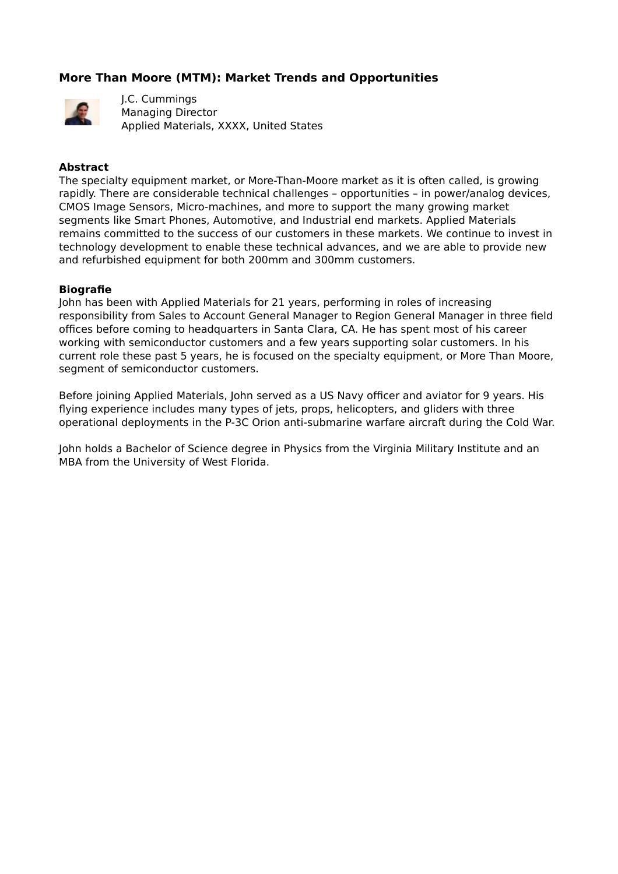# **More Than Moore (MTM): Market Trends and Opportunities**



J.C. Cummings Managing Director Applied Materials, XXXX, United States

### **Abstract**

The specialty equipment market, or More-Than-Moore market as it is often called, is growing rapidly. There are considerable technical challenges – opportunities – in power/analog devices, CMOS Image Sensors, Micro-machines, and more to support the many growing market segments like Smart Phones, Automotive, and Industrial end markets. Applied Materials remains committed to the success of our customers in these markets. We continue to invest in technology development to enable these technical advances, and we are able to provide new and refurbished equipment for both 200mm and 300mm customers.

#### **Biografie**

John has been with Applied Materials for 21 years, performing in roles of increasing responsibility from Sales to Account General Manager to Region General Manager in three field offices before coming to headquarters in Santa Clara, CA. He has spent most of his career working with semiconductor customers and a few years supporting solar customers. In his current role these past 5 years, he is focused on the specialty equipment, or More Than Moore, segment of semiconductor customers.

Before joining Applied Materials, John served as a US Navy officer and aviator for 9 years. His flying experience includes many types of jets, props, helicopters, and gliders with three operational deployments in the P-3C Orion anti-submarine warfare aircraft during the Cold War.

John holds a Bachelor of Science degree in Physics from the Virginia Military Institute and an MBA from the University of West Florida.